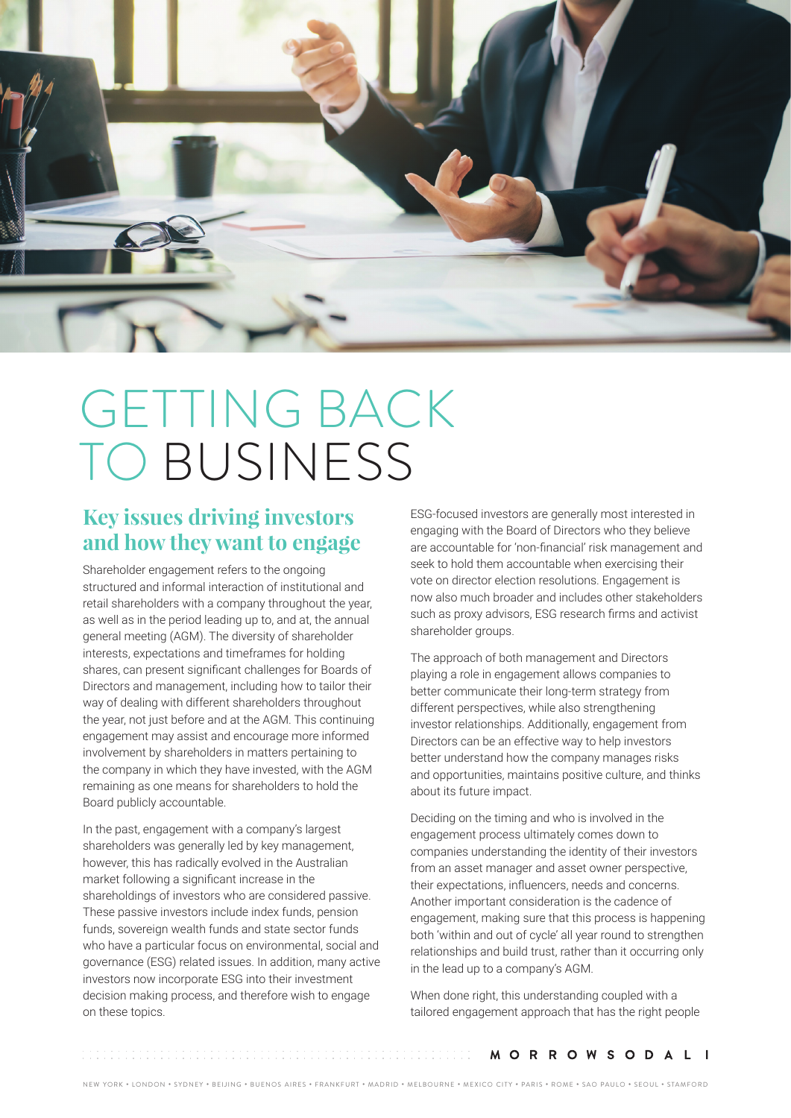

# GETTING BACK TO BUSINESS

## **Key issues driving investors and how they want to engage**

Shareholder engagement refers to the ongoing structured and informal interaction of institutional and retail shareholders with a company throughout the year, as well as in the period leading up to, and at, the annual general meeting (AGM). The diversity of shareholder interests, expectations and timeframes for holding shares, can present significant challenges for Boards of Directors and management, including how to tailor their way of dealing with different shareholders throughout the year, not just before and at the AGM. This continuing engagement may assist and encourage more informed involvement by shareholders in matters pertaining to the company in which they have invested, with the AGM remaining as one means for shareholders to hold the Board publicly accountable.

In the past, engagement with a company's largest shareholders was generally led by key management, however, this has radically evolved in the Australian market following a significant increase in the shareholdings of investors who are considered passive. These passive investors include index funds, pension funds, sovereign wealth funds and state sector funds who have a particular focus on environmental, social and governance (ESG) related issues. In addition, many active investors now incorporate ESG into their investment decision making process, and therefore wish to engage on these topics.

ESG-focused investors are generally most interested in engaging with the Board of Directors who they believe are accountable for 'non-financial' risk management and seek to hold them accountable when exercising their vote on director election resolutions. Engagement is now also much broader and includes other stakeholders such as proxy advisors, ESG research firms and activist shareholder groups.

The approach of both management and Directors playing a role in engagement allows companies to better communicate their long-term strategy from different perspectives, while also strengthening investor relationships. Additionally, engagement from Directors can be an effective way to help investors better understand how the company manages risks and opportunities, maintains positive culture, and thinks about its future impact.

Deciding on the timing and who is involved in the engagement process ultimately comes down to companies understanding the identity of their investors from an asset manager and asset owner perspective, their expectations, influencers, needs and concerns. Another important consideration is the cadence of engagement, making sure that this process is happening both 'within and out of cycle' all year round to strengthen relationships and build trust, rather than it occurring only in the lead up to a company's AGM.

When done right, this understanding coupled with a tailored engagement approach that has the right people

**MORROWSODALI**